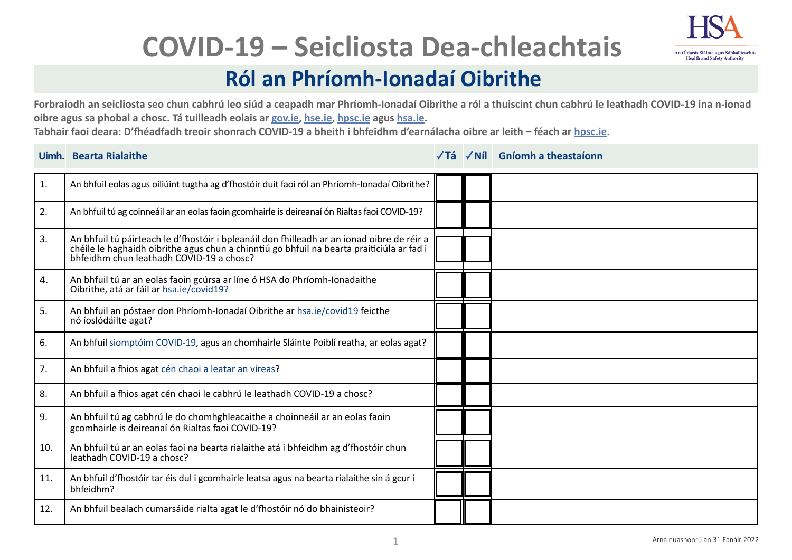

# **COVID-19 – Seicliosta Dea-chleachtais**

## **Ról an Phríomh-Ionadaí Oibrithe**

**Forbraíodh an seicliosta seo chun cabhrú leo siúd a ceapadh mar Phríomh-Ionadaí Oibrithe a ról a thuiscint chun cabhrú le leathadh COVID-19 ina n-ionad oibre agus sa phobal a chosc. Tá tuilleadh eolais ar [gov.ie,](https://www.gov.ie/en/campaigns/c36c85-covid-19-coronavirus/) [hse.ie,](https://www2.hse.ie/conditions/covid19/) [hpsc.ie](https://www.hpsc.ie/a-z/respiratory/coronavirus/novelcoronavirus/) agus [hsa.ie](https://www.hsa.ie/eng/topics/covid-19_coronavirus_information_and_resources/).** 

**Tabhair faoi deara: D'fhéadfadh treoir shonrach COVID-19 a bheith i bhfeidhm d'earnálacha oibre ar leith – féach ar [hpsc.ie](https://www.hpsc.ie/a-z/respiratory/coronavirus/novelcoronavirus/).**

### **Uimh. Bearta Rialaithe Tá Níl Gníomh a theastaíonn**

| 1.  | An bhfuil eolas agus oiliúint tugtha ag d'fhostóir duit faoi ról an Phríomh-Ionadaí Oibrithe?                                                                                                                                 |  |  |
|-----|-------------------------------------------------------------------------------------------------------------------------------------------------------------------------------------------------------------------------------|--|--|
| 2.  | An bhfuil tú ag coinneáil ar an eolas faoin gcomhairle is deireanaí ón Rialtas faoi COVID-19?                                                                                                                                 |  |  |
| 3.  | An bhfuil tú páirteach le d'fhostóir i bpleanáil don fhilleadh ar an ionad oibre de réir a chéile le haghaidh oibrithe agus chun a chinntiú go bhfuil na bearta praiticiúla ar fad i bhfeidhm chun leathadh COVID-19 a chosc? |  |  |
| 4.  | An bhfuil tú ar an eolas faoin gcúrsa ar líne ó HSA do Phríomh-Ionadaithe<br>Oibrithe, atá ar fáil ar hsa.ie/covid19?                                                                                                         |  |  |
| 5.  | An bhfuil an póstaer don Phríomh-Ionadaí Oibrithe ar hsa.ie/covid19 feicthe<br>nó íoslódáilte agat?                                                                                                                           |  |  |
| 6.  | An bhfuil siomptóim COVID-19, agus an chomhairle Sláinte Poiblí reatha, ar eolas agat?                                                                                                                                        |  |  |
| 7.  | An bhfuil a fhios agat cén chaoi a leatar an víreas?                                                                                                                                                                          |  |  |
| 8.  | An bhfuil a fhios agat cén chaoi le cabhrú le leathadh COVID-19 a chosc?                                                                                                                                                      |  |  |
| 9.  | An bhfuil tú ag cabhrú le do chomhghleacaithe a choinneáil ar an eolas faoin<br>gcomhairle is deireanaí ón Rialtas faoi COVID-19?                                                                                             |  |  |
| 10. | An bhfuil tú ar an eolas faoi na bearta rialaithe atá i bhfeidhm ag d'fhostóir chun<br>leathadh COVID-19 a chosc?                                                                                                             |  |  |
| 11. | An bhfuil d'fhostóir tar éis dul i gcomhairle leatsa agus na bearta rialaithe sin á gcur i<br>bhfeidhm?                                                                                                                       |  |  |
| 12. | An bhfuil bealach cumarsáide rialta agat le d'fhostóir nó do bhainisteoir?                                                                                                                                                    |  |  |